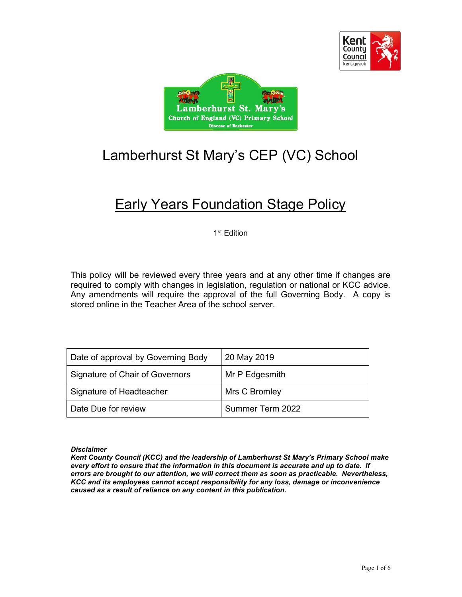



# Lamberhurst St Mary's CEP (VC) School

# **Early Years Foundation Stage Policy**

1 st Edition

This policy will be reviewed every three years and at any other time if changes are required to comply with changes in legislation, regulation or national or KCC advice. Any amendments will require the approval of the full Governing Body. A copy is stored online in the Teacher Area of the school server.

| Date of approval by Governing Body | 20 May 2019      |
|------------------------------------|------------------|
| Signature of Chair of Governors    | Mr P Edgesmith   |
| Signature of Headteacher           | Mrs C Bromley    |
| Date Due for review                | Summer Term 2022 |

**Disclaimer** 

Kent County Council (KCC) and the leadership of Lamberhurst St Mary's Primary School make every effort to ensure that the information in this document is accurate and up to date. If errors are brought to our attention, we will correct them as soon as practicable. Nevertheless, KCC and its employees cannot accept responsibility for any loss, damage or inconvenience caused as a result of reliance on any content in this publication.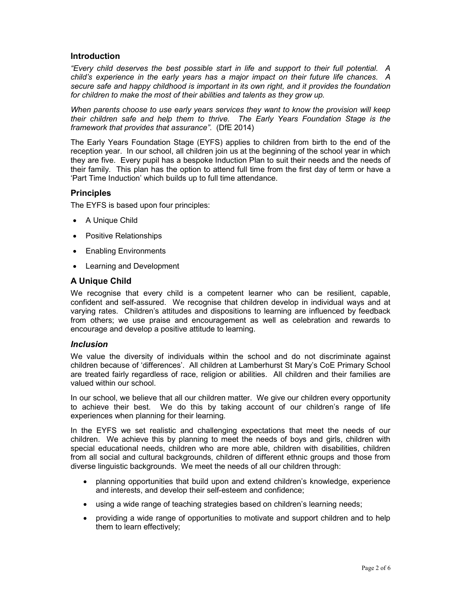# Introduction

"Every child deserves the best possible start in life and support to their full potential. A child's experience in the early years has a major impact on their future life chances. A secure safe and happy childhood is important in its own right, and it provides the foundation for children to make the most of their abilities and talents as they grow up.

When parents choose to use early years services they want to know the provision will keep their children safe and help them to thrive. The Early Years Foundation Stage is the framework that provides that assurance". (DfE 2014)

The Early Years Foundation Stage (EYFS) applies to children from birth to the end of the reception year. In our school, all children join us at the beginning of the school year in which they are five. Every pupil has a bespoke Induction Plan to suit their needs and the needs of their family. This plan has the option to attend full time from the first day of term or have a 'Part Time Induction' which builds up to full time attendance.

# **Principles**

The EYFS is based upon four principles:

- A Unique Child
- Positive Relationships
- Enabling Environments
- Learning and Development

# A Unique Child

We recognise that every child is a competent learner who can be resilient, capable, confident and self-assured. We recognise that children develop in individual ways and at varying rates. Children's attitudes and dispositions to learning are influenced by feedback from others; we use praise and encouragement as well as celebration and rewards to encourage and develop a positive attitude to learning.

## Inclusion

We value the diversity of individuals within the school and do not discriminate against children because of 'differences'. All children at Lamberhurst St Mary's CoE Primary School are treated fairly regardless of race, religion or abilities. All children and their families are valued within our school.

In our school, we believe that all our children matter. We give our children every opportunity to achieve their best. We do this by taking account of our children's range of life experiences when planning for their learning.

In the EYFS we set realistic and challenging expectations that meet the needs of our children. We achieve this by planning to meet the needs of boys and girls, children with special educational needs, children who are more able, children with disabilities, children from all social and cultural backgrounds, children of different ethnic groups and those from diverse linguistic backgrounds. We meet the needs of all our children through:

- planning opportunities that build upon and extend children's knowledge, experience and interests, and develop their self-esteem and confidence;
- using a wide range of teaching strategies based on children's learning needs;
- providing a wide range of opportunities to motivate and support children and to help them to learn effectively;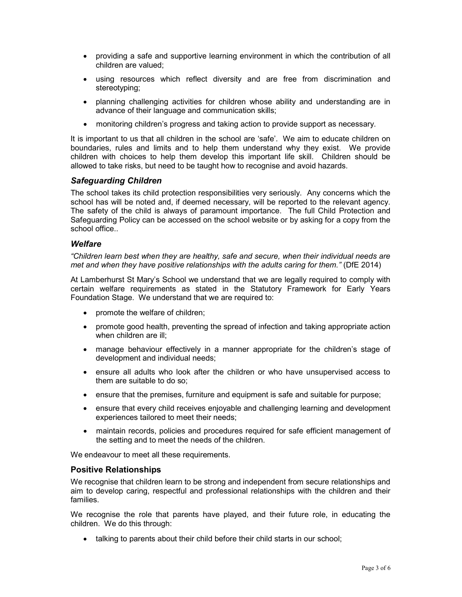- providing a safe and supportive learning environment in which the contribution of all children are valued;
- using resources which reflect diversity and are free from discrimination and stereotyping;
- planning challenging activities for children whose ability and understanding are in advance of their language and communication skills;
- monitoring children's progress and taking action to provide support as necessary.

It is important to us that all children in the school are 'safe'. We aim to educate children on boundaries, rules and limits and to help them understand why they exist. We provide children with choices to help them develop this important life skill. Children should be allowed to take risks, but need to be taught how to recognise and avoid hazards.

# Safeguarding Children

The school takes its child protection responsibilities very seriously. Any concerns which the school has will be noted and, if deemed necessary, will be reported to the relevant agency. The safety of the child is always of paramount importance. The full Child Protection and Safeguarding Policy can be accessed on the school website or by asking for a copy from the school office..

## **Welfare**

"Children learn best when they are healthy, safe and secure, when their individual needs are met and when they have positive relationships with the adults caring for them." (DfE 2014)

At Lamberhurst St Mary's School we understand that we are legally required to comply with certain welfare requirements as stated in the Statutory Framework for Early Years Foundation Stage. We understand that we are required to:

- promote the welfare of children;
- promote good health, preventing the spread of infection and taking appropriate action when children are ill;
- manage behaviour effectively in a manner appropriate for the children's stage of development and individual needs;
- ensure all adults who look after the children or who have unsupervised access to them are suitable to do so;
- ensure that the premises, furniture and equipment is safe and suitable for purpose;
- ensure that every child receives enjoyable and challenging learning and development experiences tailored to meet their needs;
- maintain records, policies and procedures required for safe efficient management of the setting and to meet the needs of the children.

We endeavour to meet all these requirements.

# Positive Relationships

We recognise that children learn to be strong and independent from secure relationships and aim to develop caring, respectful and professional relationships with the children and their families.

We recognise the role that parents have played, and their future role, in educating the children. We do this through:

• talking to parents about their child before their child starts in our school;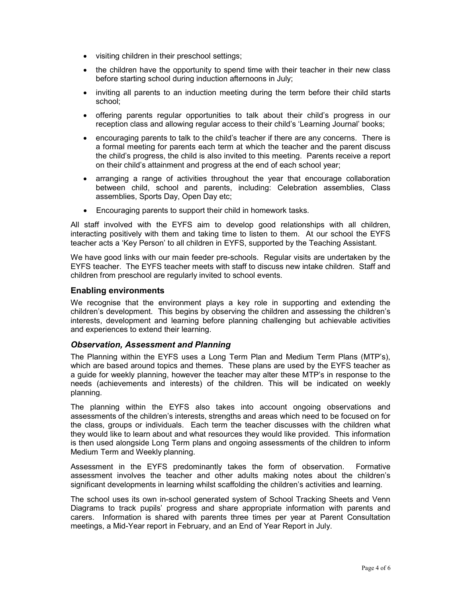- visiting children in their preschool settings;
- the children have the opportunity to spend time with their teacher in their new class before starting school during induction afternoons in July;
- inviting all parents to an induction meeting during the term before their child starts school;
- offering parents regular opportunities to talk about their child's progress in our reception class and allowing regular access to their child's 'Learning Journal' books;
- encouraging parents to talk to the child's teacher if there are any concerns. There is a formal meeting for parents each term at which the teacher and the parent discuss the child's progress, the child is also invited to this meeting. Parents receive a report on their child's attainment and progress at the end of each school year;
- arranging a range of activities throughout the year that encourage collaboration between child, school and parents, including: Celebration assemblies, Class assemblies, Sports Day, Open Day etc;
- Encouraging parents to support their child in homework tasks.

All staff involved with the EYFS aim to develop good relationships with all children, interacting positively with them and taking time to listen to them. At our school the EYFS teacher acts a 'Key Person' to all children in EYFS, supported by the Teaching Assistant.

We have good links with our main feeder pre-schools. Regular visits are undertaken by the EYFS teacher. The EYFS teacher meets with staff to discuss new intake children. Staff and children from preschool are regularly invited to school events.

## Enabling environments

We recognise that the environment plays a key role in supporting and extending the children's development. This begins by observing the children and assessing the children's interests, development and learning before planning challenging but achievable activities and experiences to extend their learning.

# Observation, Assessment and Planning

The Planning within the EYFS uses a Long Term Plan and Medium Term Plans (MTP's), which are based around topics and themes. These plans are used by the EYFS teacher as a guide for weekly planning, however the teacher may alter these MTP's in response to the needs (achievements and interests) of the children. This will be indicated on weekly planning.

The planning within the EYFS also takes into account ongoing observations and assessments of the children's interests, strengths and areas which need to be focused on for the class, groups or individuals. Each term the teacher discusses with the children what they would like to learn about and what resources they would like provided. This information is then used alongside Long Term plans and ongoing assessments of the children to inform Medium Term and Weekly planning.

Assessment in the EYFS predominantly takes the form of observation. Formative assessment involves the teacher and other adults making notes about the children's significant developments in learning whilst scaffolding the children's activities and learning.

The school uses its own in-school generated system of School Tracking Sheets and Venn Diagrams to track pupils' progress and share appropriate information with parents and carers. Information is shared with parents three times per year at Parent Consultation meetings, a Mid-Year report in February, and an End of Year Report in July.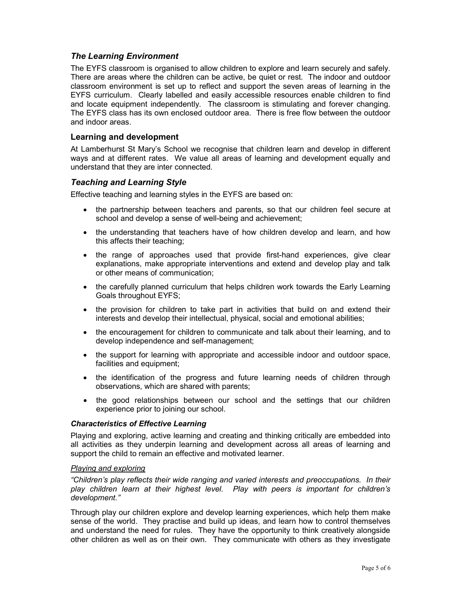# The Learning Environment

The EYFS classroom is organised to allow children to explore and learn securely and safely. There are areas where the children can be active, be quiet or rest. The indoor and outdoor classroom environment is set up to reflect and support the seven areas of learning in the EYFS curriculum. Clearly labelled and easily accessible resources enable children to find and locate equipment independently. The classroom is stimulating and forever changing. The EYFS class has its own enclosed outdoor area. There is free flow between the outdoor and indoor areas.

# Learning and development

At Lamberhurst St Mary's School we recognise that children learn and develop in different ways and at different rates. We value all areas of learning and development equally and understand that they are inter connected.

# Teaching and Learning Style

Effective teaching and learning styles in the EYFS are based on:

- the partnership between teachers and parents, so that our children feel secure at school and develop a sense of well-being and achievement;
- the understanding that teachers have of how children develop and learn, and how this affects their teaching;
- the range of approaches used that provide first-hand experiences, give clear explanations, make appropriate interventions and extend and develop play and talk or other means of communication;
- the carefully planned curriculum that helps children work towards the Early Learning Goals throughout EYFS;
- the provision for children to take part in activities that build on and extend their interests and develop their intellectual, physical, social and emotional abilities;
- the encouragement for children to communicate and talk about their learning, and to develop independence and self-management;
- the support for learning with appropriate and accessible indoor and outdoor space, facilities and equipment;
- the identification of the progress and future learning needs of children through observations, which are shared with parents;
- the good relationships between our school and the settings that our children experience prior to joining our school.

## Characteristics of Effective Learning

Playing and exploring, active learning and creating and thinking critically are embedded into all activities as they underpin learning and development across all areas of learning and support the child to remain an effective and motivated learner.

## Playing and exploring

"Children's play reflects their wide ranging and varied interests and preoccupations. In their play children learn at their highest level. Play with peers is important for children's development."

Through play our children explore and develop learning experiences, which help them make sense of the world. They practise and build up ideas, and learn how to control themselves and understand the need for rules. They have the opportunity to think creatively alongside other children as well as on their own. They communicate with others as they investigate